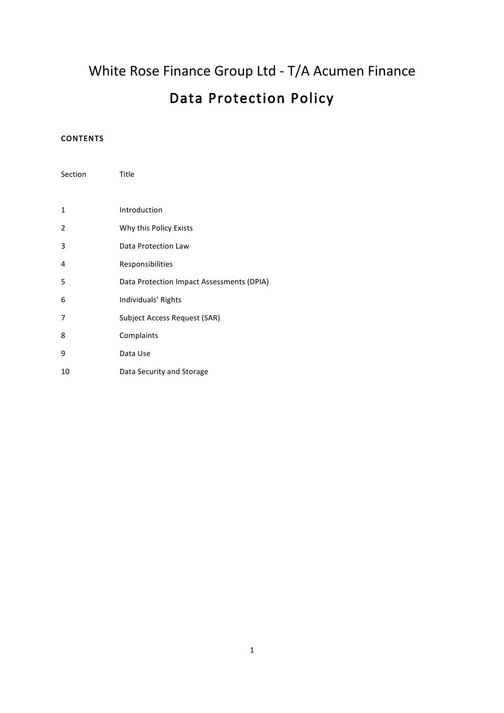White Rose Finance Group Ltd - T/A Acumen Finance

# Data Protection Policy

# CONTENTS

| Section        | Title                                     |
|----------------|-------------------------------------------|
|                |                                           |
| 1              | Introduction                              |
| $\overline{2}$ | Why this Policy Exists                    |
| 3              | Data Protection Law                       |
| 4              | Responsibilities                          |
| 5              | Data Protection Impact Assessments (DPIA) |
| 6              | Individuals' Rights                       |
| 7              | Subject Access Request (SAR)              |
| 8              | Complaints                                |
| 9              | Data Use                                  |
| 10             | Data Security and Storage                 |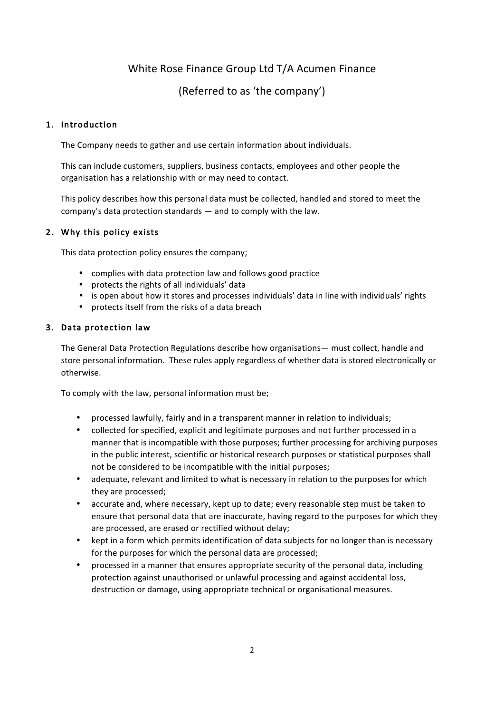# White Rose Finance Group Ltd T/A Acumen Finance

(Referred to as 'the company')

# 1. Introduction

The Company needs to gather and use certain information about individuals.

This can include customers, suppliers, business contacts, employees and other people the organisation has a relationship with or may need to contact.

This policy describes how this personal data must be collected, handled and stored to meet the company's data protection standards — and to comply with the law.

## 2. Why this policy exists

This data protection policy ensures the company;

- complies with data protection law and follows good practice
- protects the rights of all individuals' data
- is open about how it stores and processes individuals' data in line with individuals' rights
- protects itself from the risks of a data breach

## 3. Data protection law

The General Data Protection Regulations describe how organisations— must collect, handle and store personal information. These rules apply regardless of whether data is stored electronically or otherwise.

To comply with the law, personal information must be;

- processed lawfully, fairly and in a transparent manner in relation to individuals;
- collected for specified, explicit and legitimate purposes and not further processed in a manner that is incompatible with those purposes; further processing for archiving purposes in the public interest, scientific or historical research purposes or statistical purposes shall not be considered to be incompatible with the initial purposes;
- adequate, relevant and limited to what is necessary in relation to the purposes for which they are processed;
- accurate and, where necessary, kept up to date; every reasonable step must be taken to ensure that personal data that are inaccurate, having regard to the purposes for which they are processed, are erased or rectified without delay;
- kept in a form which permits identification of data subjects for no longer than is necessary for the purposes for which the personal data are processed;
- processed in a manner that ensures appropriate security of the personal data, including protection against unauthorised or unlawful processing and against accidental loss, destruction or damage, using appropriate technical or organisational measures.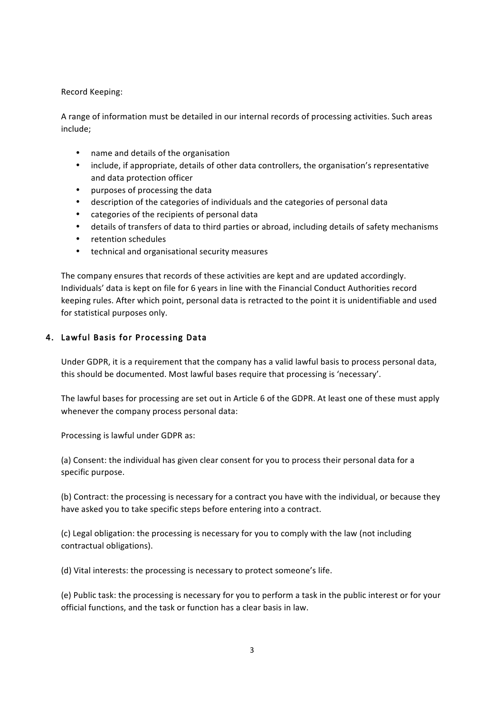#### Record Keeping:

A range of information must be detailed in our internal records of processing activities. Such areas include;

- name and details of the organisation
- include, if appropriate, details of other data controllers, the organisation's representative and data protection officer
- purposes of processing the data
- description of the categories of individuals and the categories of personal data
- categories of the recipients of personal data
- details of transfers of data to third parties or abroad, including details of safety mechanisms
- retention schedules
- technical and organisational security measures

The company ensures that records of these activities are kept and are updated accordingly. Individuals' data is kept on file for 6 years in line with the Financial Conduct Authorities record keeping rules. After which point, personal data is retracted to the point it is unidentifiable and used for statistical purposes only.

## 4. Lawful Basis for Processing Data

Under GDPR, it is a requirement that the company has a valid lawful basis to process personal data, this should be documented. Most lawful bases require that processing is 'necessary'.

The lawful bases for processing are set out in Article 6 of the GDPR. At least one of these must apply whenever the company process personal data:

Processing is lawful under GDPR as:

(a) Consent: the individual has given clear consent for you to process their personal data for a specific purpose.

(b) Contract: the processing is necessary for a contract you have with the individual, or because they have asked you to take specific steps before entering into a contract.

(c) Legal obligation: the processing is necessary for you to comply with the law (not including contractual obligations).

(d) Vital interests: the processing is necessary to protect someone's life.

(e) Public task: the processing is necessary for you to perform a task in the public interest or for your official functions, and the task or function has a clear basis in law.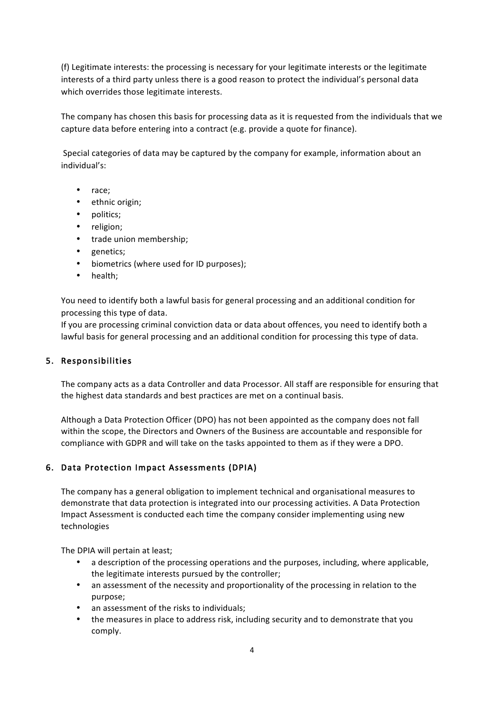(f) Legitimate interests: the processing is necessary for your legitimate interests or the legitimate interests of a third party unless there is a good reason to protect the individual's personal data which overrides those legitimate interests.

The company has chosen this basis for processing data as it is requested from the individuals that we capture data before entering into a contract (e.g. provide a quote for finance).

Special categories of data may be captured by the company for example, information about an individual's:

- race;
- ethnic origin;
- politics;
- religion;
- trade union membership;
- genetics;
- biometrics (where used for ID purposes);
- health;

You need to identify both a lawful basis for general processing and an additional condition for processing this type of data.

If you are processing criminal conviction data or data about offences, you need to identify both a lawful basis for general processing and an additional condition for processing this type of data.

#### 5. Responsibilities

The company acts as a data Controller and data Processor. All staff are responsible for ensuring that the highest data standards and best practices are met on a continual basis.

Although a Data Protection Officer (DPO) has not been appointed as the company does not fall within the scope, the Directors and Owners of the Business are accountable and responsible for compliance with GDPR and will take on the tasks appointed to them as if they were a DPO.

#### 6. Data Protection Impact Assessments (DPIA)

The company has a general obligation to implement technical and organisational measures to demonstrate that data protection is integrated into our processing activities. A Data Protection Impact Assessment is conducted each time the company consider implementing using new technologies

The DPIA will pertain at least;

- a description of the processing operations and the purposes, including, where applicable, the legitimate interests pursued by the controller;
- an assessment of the necessity and proportionality of the processing in relation to the purpose;
- an assessment of the risks to individuals:
- the measures in place to address risk, including security and to demonstrate that you comply.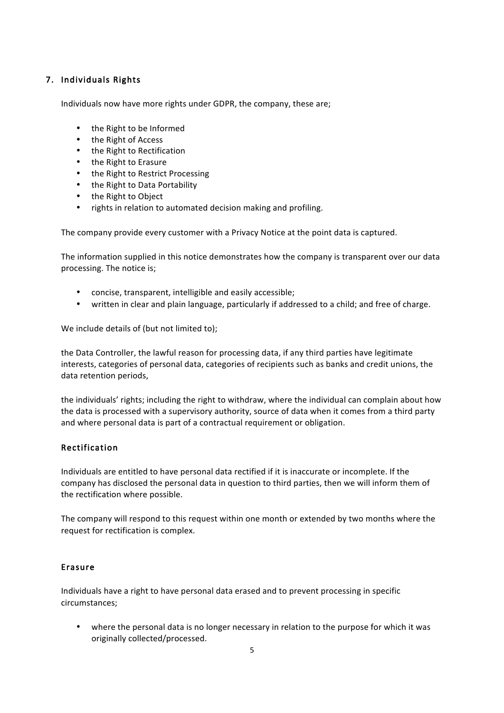# 7. Individuals Rights

Individuals now have more rights under GDPR, the company, these are;

- the Right to be Informed
- the Right of Access
- the Right to Rectification
- the Right to Erasure
- the Right to Restrict Processing
- the Right to Data Portability
- the Right to Object
- rights in relation to automated decision making and profiling.

The company provide every customer with a Privacy Notice at the point data is captured.

The information supplied in this notice demonstrates how the company is transparent over our data processing. The notice is;

- concise, transparent, intelligible and easily accessible;
- written in clear and plain language, particularly if addressed to a child; and free of charge.

We include details of (but not limited to);

the Data Controller, the lawful reason for processing data, if any third parties have legitimate interests, categories of personal data, categories of recipients such as banks and credit unions, the data retention periods,

the individuals' rights; including the right to withdraw, where the individual can complain about how the data is processed with a supervisory authority, source of data when it comes from a third party and where personal data is part of a contractual requirement or obligation.

# Rectification

Individuals are entitled to have personal data rectified if it is inaccurate or incomplete. If the company has disclosed the personal data in question to third parties, then we will inform them of the rectification where possible.

The company will respond to this request within one month or extended by two months where the request for rectification is complex.

#### Erasure

Individuals have a right to have personal data erased and to prevent processing in specific circumstances;

• where the personal data is no longer necessary in relation to the purpose for which it was originally collected/processed.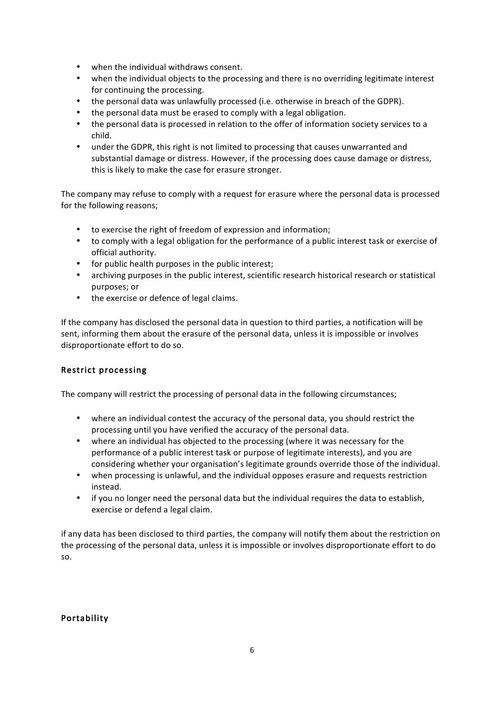- when the individual withdraws consent.
- when the individual objects to the processing and there is no overriding legitimate interest for continuing the processing.
- the personal data was unlawfully processed (i.e. otherwise in breach of the GDPR).
- the personal data must be erased to comply with a legal obligation.
- the personal data is processed in relation to the offer of information society services to a child.
- under the GDPR, this right is not limited to processing that causes unwarranted and substantial damage or distress. However, if the processing does cause damage or distress, this is likely to make the case for erasure stronger.

The company may refuse to comply with a request for erasure where the personal data is processed for the following reasons;

- to exercise the right of freedom of expression and information;
- to comply with a legal obligation for the performance of a public interest task or exercise of official authority.
- for public health purposes in the public interest;
- archiving purposes in the public interest, scientific research historical research or statistical purposes; or
- the exercise or defence of legal claims.

If the company has disclosed the personal data in question to third parties, a notification will be sent, informing them about the erasure of the personal data, unless it is impossible or involves disproportionate effort to do so.

# Restrict processing

The company will restrict the processing of personal data in the following circumstances;

- where an individual contest the accuracy of the personal data, you should restrict the processing until you have verified the accuracy of the personal data.
- where an individual has objected to the processing (where it was necessary for the performance of a public interest task or purpose of legitimate interests), and you are considering whether your organisation's legitimate grounds override those of the individual.
- when processing is unlawful, and the individual opposes erasure and requests restriction instead.
- if you no longer need the personal data but the individual requires the data to establish, exercise or defend a legal claim.

if any data has been disclosed to third parties, the company will notify them about the restriction on the processing of the personal data, unless it is impossible or involves disproportionate effort to do so.

#### Portability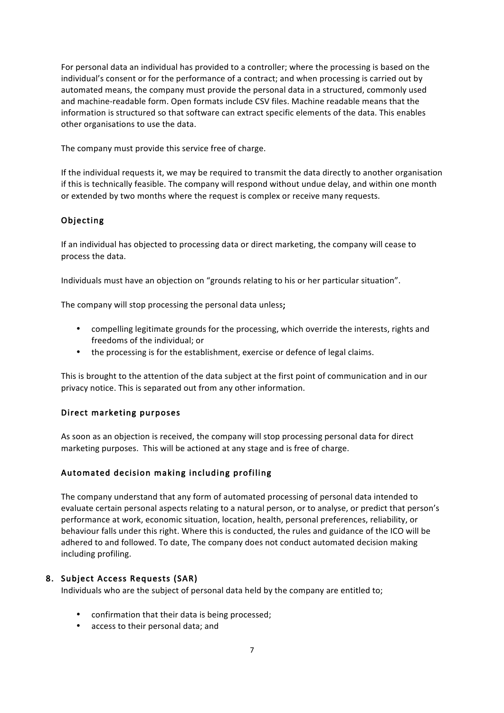For personal data an individual has provided to a controller; where the processing is based on the individual's consent or for the performance of a contract; and when processing is carried out by automated means, the company must provide the personal data in a structured, commonly used and machine-readable form. Open formats include CSV files. Machine readable means that the information is structured so that software can extract specific elements of the data. This enables other organisations to use the data.

The company must provide this service free of charge.

If the individual requests it, we may be required to transmit the data directly to another organisation if this is technically feasible. The company will respond without undue delay, and within one month or extended by two months where the request is complex or receive many requests.

## Objecting

If an individual has objected to processing data or direct marketing, the company will cease to process the data.

Individuals must have an objection on "grounds relating to his or her particular situation".

The company will stop processing the personal data unless;

- compelling legitimate grounds for the processing, which override the interests, rights and freedoms of the individual; or
- the processing is for the establishment, exercise or defence of legal claims.

This is brought to the attention of the data subject at the first point of communication and in our privacy notice. This is separated out from any other information.

#### Direct marketing purposes

As soon as an objection is received, the company will stop processing personal data for direct marketing purposes. This will be actioned at any stage and is free of charge.

#### Automated decision making including profiling

The company understand that any form of automated processing of personal data intended to evaluate certain personal aspects relating to a natural person, or to analyse, or predict that person's performance at work, economic situation, location, health, personal preferences, reliability, or behaviour falls under this right. Where this is conducted, the rules and guidance of the ICO will be adhered to and followed. To date, The company does not conduct automated decision making including profiling.

#### 8. Subject Access Requests (SAR)

Individuals who are the subject of personal data held by the company are entitled to;

- confirmation that their data is being processed;
- access to their personal data; and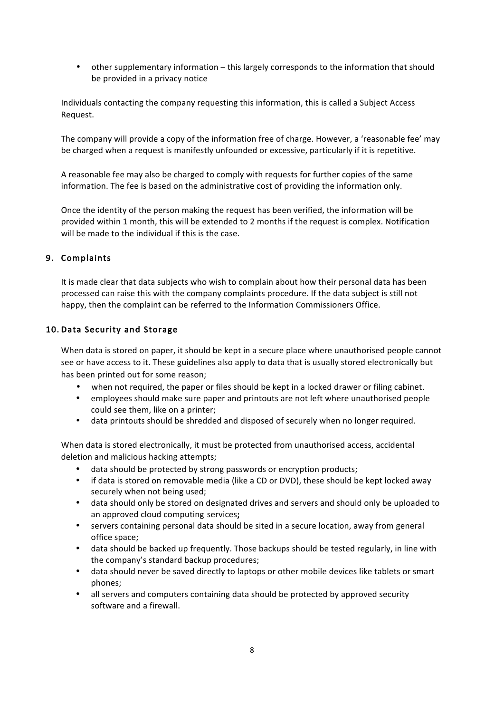• other supplementary information – this largely corresponds to the information that should be provided in a privacy notice

Individuals contacting the company requesting this information, this is called a Subject Access Request.

The company will provide a copy of the information free of charge. However, a 'reasonable fee' may be charged when a request is manifestly unfounded or excessive, particularly if it is repetitive.

A reasonable fee may also be charged to comply with requests for further copies of the same information. The fee is based on the administrative cost of providing the information only.

Once the identity of the person making the request has been verified, the information will be provided within 1 month, this will be extended to 2 months if the request is complex. Notification will be made to the individual if this is the case.

# 9. Complaints

It is made clear that data subjects who wish to complain about how their personal data has been processed can raise this with the company complaints procedure. If the data subject is still not happy, then the complaint can be referred to the Information Commissioners Office.

## 10. Data Security and Storage

When data is stored on paper, it should be kept in a secure place where unauthorised people cannot see or have access to it. These guidelines also apply to data that is usually stored electronically but has been printed out for some reason;

- when not required, the paper or files should be kept in a locked drawer or filing cabinet.
- employees should make sure paper and printouts are not left where unauthorised people could see them, like on a printer;
- data printouts should be shredded and disposed of securely when no longer required.

When data is stored electronically, it must be protected from unauthorised access, accidental deletion and malicious hacking attempts;

- data should be protected by strong passwords or encryption products;
- if data is stored on removable media (like a CD or DVD), these should be kept locked away securely when not being used;
- data should only be stored on designated drives and servers and should only be uploaded to an approved cloud computing services;
- servers containing personal data should be sited in a secure location, away from general office space;
- data should be backed up frequently. Those backups should be tested regularly, in line with the company's standard backup procedures;
- data should never be saved directly to laptops or other mobile devices like tablets or smart phones;
- all servers and computers containing data should be protected by approved security software and a firewall.